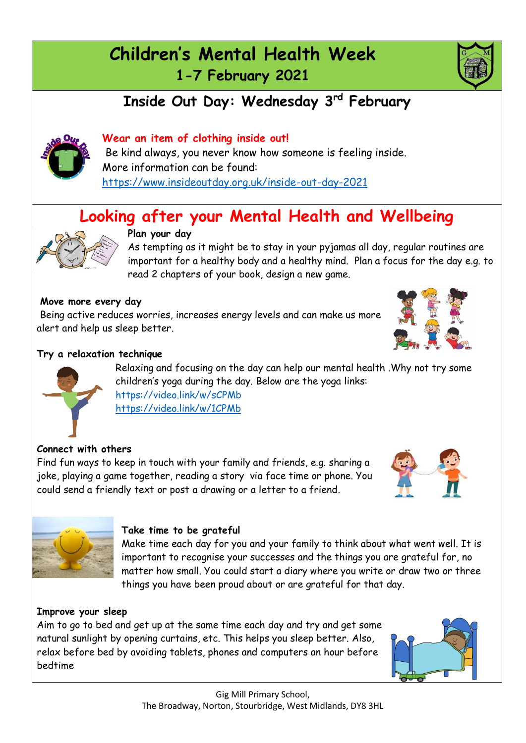# **Children's Mental Health Week 1-7 February 2021**

## **Inside Out Day: Wednesday 3rd February**



Be kind always, you never know how someone is feeling inside. More information can be found: <https://www.insideoutday.org.uk/inside-out-day-2021>

# **Looking after your Mental Health and Wellbeing**



#### **Plan your day**

As tempting as it might be to stay in your pyjamas all day, regular routines are important for a healthy body and a healthy mind. Plan a focus for the day e.g. to read 2 chapters of your book, design a new game.

#### **Move more every day**

Being active reduces worries, increases energy levels and can make us more alert and help us sleep better.



#### **Try a relaxation technique**

Relaxing and focusing on the day can help our mental health .Why not try some children's yoga during the day. Below are the yoga links: <https://video.link/w/sCPMb> <https://video.link/w/1CPMb>

#### **Connect with others**

Find fun ways to keep in touch with your family and friends, e.g. sharing a joke, playing a game together, reading a story via face time or phone. You could send a friendly text or post a drawing or a letter to a friend.





#### **Take time to be grateful**

Make time each day for you and your family to think about what went well. It is important to recognise your successes and the things you are grateful for, no matter how small. You could start a diary where you write or draw two or three things you have been proud about or are grateful for that day.

#### **Improve your sleep**

Aim to go to bed and get up at the same time each day and try and get some natural sunlight by opening curtains, etc. This helps you sleep better. Also, relax before bed by avoiding tablets, phones and computers an hour before bedtime



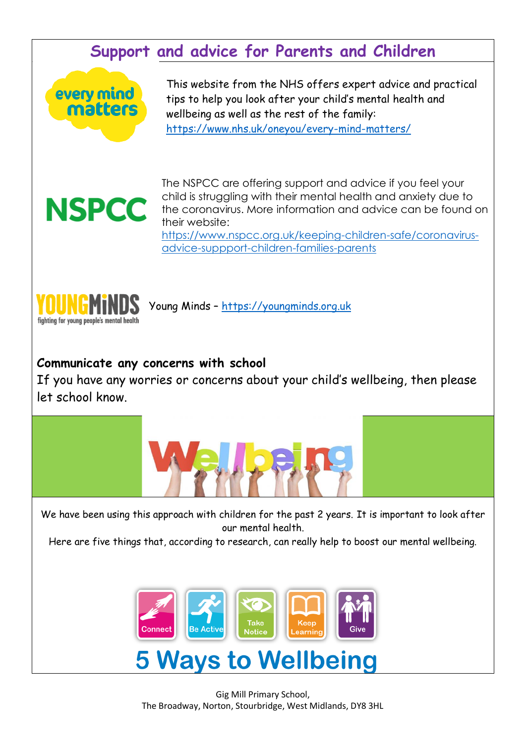### **Support and advice for Parents and Children**



This website from the NHS offers expert advice and practical tips to help you look after your child's mental health and wellbeing as well as the rest of the family: <https://www.nhs.uk/oneyou/every-mind-matters/>



The NSPCC are offering support and advice if you feel your child is struggling with their mental health and anxiety due to the coronavirus. More information and advice can be found on their website:

[https://www.nspcc.org.uk/keeping-children-safe/coronavirus](https://www.nspcc.org.uk/keeping-children-safe/coronavirus-advice-suppport-children-families-parents)[advice-suppport-children-families-parents](https://www.nspcc.org.uk/keeping-children-safe/coronavirus-advice-suppport-children-families-parents)



Young Minds – [https://youngminds.org.uk](https://youngminds.org.uk/)

### **Communicate any concerns with school**

If you have any worries or concerns about your child's wellbeing, then please let school know.



We have been using this approach with children for the past 2 years. It is important to look after our mental health.

Here are five things that, according to research, can really help to boost our mental wellbeing.



Gig Mill Primary School, The Broadway, Norton, Stourbridge, West Midlands, DY8 3HL